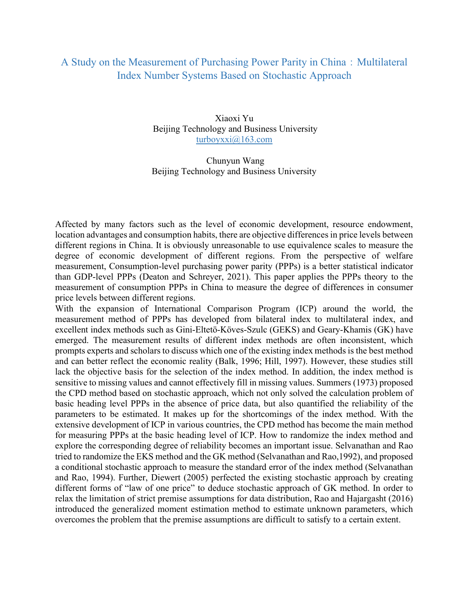## A Study on the Measurement of Purchasing Power Parity in China: Multilateral Index Number Systems Based on Stochastic Approach

Xiaoxi Yu Beijing Technology and Business University turboyxxi@163.com

 Chunyun Wang Beijing Technology and Business University

Affected by many factors such as the level of economic development, resource endowment, location advantages and consumption habits, there are objective differences in price levels between different regions in China. It is obviously unreasonable to use equivalence scales to measure the degree of economic development of different regions. From the perspective of welfare measurement, Consumption-level purchasing power parity (PPPs) is a better statistical indicator than GDP-level PPPs (Deaton and Schreyer, 2021). This paper applies the PPPs theory to the measurement of consumption PPPs in China to measure the degree of differences in consumer price levels between different regions.

With the expansion of International Comparison Program (ICP) around the world, the measurement method of PPPs has developed from bilateral index to multilateral index, and excellent index methods such as Gini-Eltetö-Köves-Szulc (GEKS) and Geary-Khamis (GK) have emerged. The measurement results of different index methods are often inconsistent, which prompts experts and scholars to discuss which one of the existing index methods is the best method and can better reflect the economic reality (Balk, 1996; Hill, 1997). However, these studies still lack the objective basis for the selection of the index method. In addition, the index method is sensitive to missing values and cannot effectively fill in missing values. Summers (1973) proposed the CPD method based on stochastic approach, which not only solved the calculation problem of basic heading level PPPs in the absence of price data, but also quantified the reliability of the parameters to be estimated. It makes up for the shortcomings of the index method. With the extensive development of ICP in various countries, the CPD method has become the main method for measuring PPPs at the basic heading level of ICP. How to randomize the index method and explore the corresponding degree of reliability becomes an important issue. Selvanathan and Rao tried to randomize the EKS method and the GK method (Selvanathan and Rao,1992), and proposed a conditional stochastic approach to measure the standard error of the index method (Selvanathan and Rao, 1994). Further, Diewert (2005) perfected the existing stochastic approach by creating different forms of "law of one price" to deduce stochastic approach of GK method. In order to relax the limitation of strict premise assumptions for data distribution, Rao and Hajargasht (2016) introduced the generalized moment estimation method to estimate unknown parameters, which overcomes the problem that the premise assumptions are difficult to satisfy to a certain extent.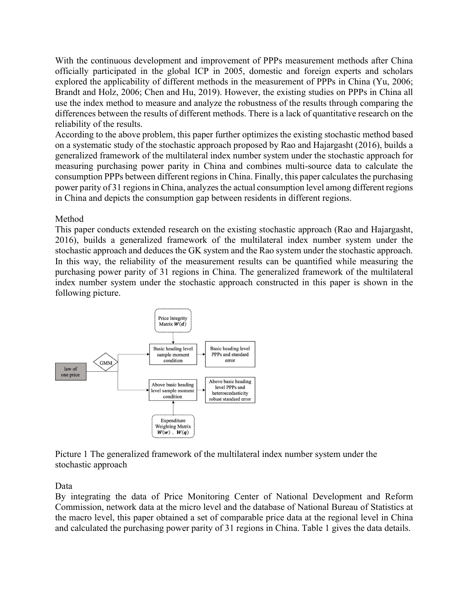With the continuous development and improvement of PPPs measurement methods after China officially participated in the global ICP in 2005, domestic and foreign experts and scholars explored the applicability of different methods in the measurement of PPPs in China (Yu, 2006; Brandt and Holz, 2006; Chen and Hu, 2019). However, the existing studies on PPPs in China all use the index method to measure and analyze the robustness of the results through comparing the differences between the results of different methods. There is a lack of quantitative research on the reliability of the results.

According to the above problem, this paper further optimizes the existing stochastic method based on a systematic study of the stochastic approach proposed by Rao and Hajargasht (2016), builds a generalized framework of the multilateral index number system under the stochastic approach for measuring purchasing power parity in China and combines multi-source data to calculate the consumption PPPs between different regions in China. Finally, this paper calculates the purchasing power parity of 31 regions in China, analyzes the actual consumption level among different regions in China and depicts the consumption gap between residents in different regions.

## Method

This paper conducts extended research on the existing stochastic approach (Rao and Hajargasht, 2016), builds a generalized framework of the multilateral index number system under the stochastic approach and deduces the GK system and the Rao system under the stochastic approach. In this way, the reliability of the measurement results can be quantified while measuring the purchasing power parity of 31 regions in China. The generalized framework of the multilateral index number system under the stochastic approach constructed in this paper is shown in the following picture.



Picture 1 The generalized framework of the multilateral index number system under the stochastic approach

Data

By integrating the data of Price Monitoring Center of National Development and Reform Commission, network data at the micro level and the database of National Bureau of Statistics at the macro level, this paper obtained a set of comparable price data at the regional level in China and calculated the purchasing power parity of 31 regions in China. Table 1 gives the data details.